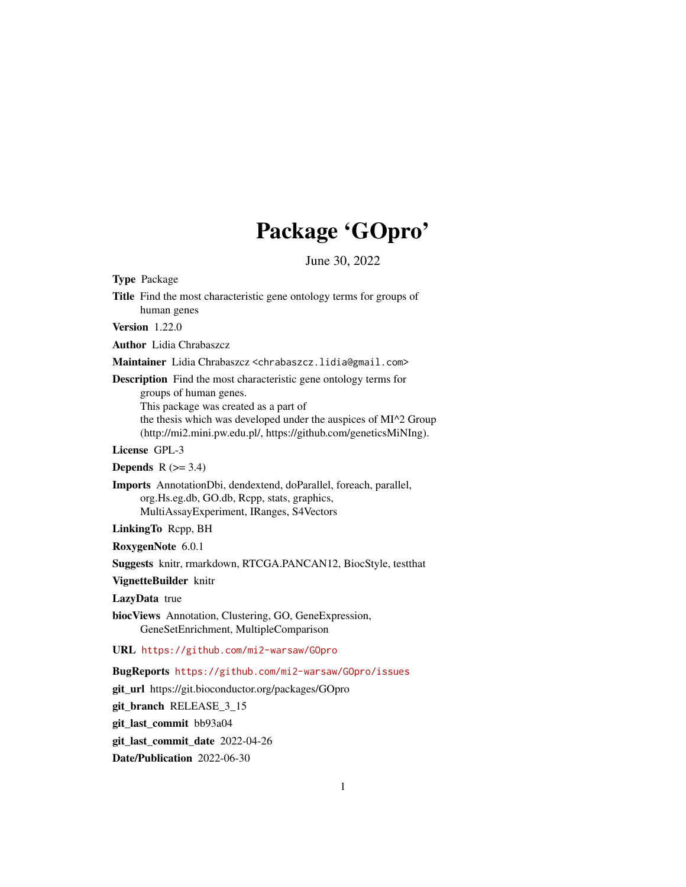## Package 'GOpro'

June 30, 2022

Type Package

Title Find the most characteristic gene ontology terms for groups of human genes

Version 1.22.0

Author Lidia Chrabaszcz

Maintainer Lidia Chrabaszcz <chrabaszcz.lidia@gmail.com>

Description Find the most characteristic gene ontology terms for groups of human genes. This package was created as a part of the thesis which was developed under the auspices of MI^2 Group

(http://mi2.mini.pw.edu.pl/, https://github.com/geneticsMiNIng).

License GPL-3

Depends  $R$  ( $>= 3.4$ )

Imports AnnotationDbi, dendextend, doParallel, foreach, parallel, org.Hs.eg.db, GO.db, Rcpp, stats, graphics, MultiAssayExperiment, IRanges, S4Vectors

LinkingTo Rcpp, BH

RoxygenNote 6.0.1

Suggests knitr, rmarkdown, RTCGA.PANCAN12, BiocStyle, testthat

VignetteBuilder knitr

LazyData true

biocViews Annotation, Clustering, GO, GeneExpression, GeneSetEnrichment, MultipleComparison

#### URL <https://github.com/mi2-warsaw/GOpro>

BugReports <https://github.com/mi2-warsaw/GOpro/issues>

git\_url https://git.bioconductor.org/packages/GOpro

git\_branch RELEASE\_3\_15

git\_last\_commit bb93a04

git last commit date 2022-04-26

Date/Publication 2022-06-30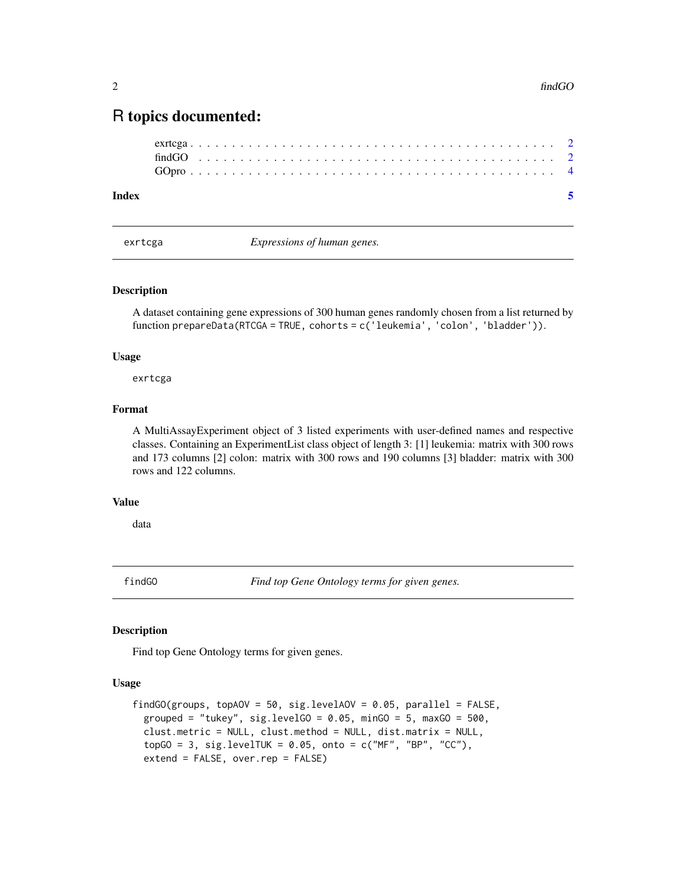### <span id="page-1-0"></span>R topics documented:

| Index |  |  |  |  |  |  |  |  |  |  |  |  |  |  |  |  |  |  |  |  |  |  |  |
|-------|--|--|--|--|--|--|--|--|--|--|--|--|--|--|--|--|--|--|--|--|--|--|--|
|       |  |  |  |  |  |  |  |  |  |  |  |  |  |  |  |  |  |  |  |  |  |  |  |
|       |  |  |  |  |  |  |  |  |  |  |  |  |  |  |  |  |  |  |  |  |  |  |  |
|       |  |  |  |  |  |  |  |  |  |  |  |  |  |  |  |  |  |  |  |  |  |  |  |

exrtcga *Expressions of human genes.*

#### Description

A dataset containing gene expressions of 300 human genes randomly chosen from a list returned by function prepareData(RTCGA = TRUE, cohorts = c('leukemia', 'colon', 'bladder')).

#### Usage

exrtcga

#### Format

A MultiAssayExperiment object of 3 listed experiments with user-defined names and respective classes. Containing an ExperimentList class object of length 3: [1] leukemia: matrix with 300 rows and 173 columns [2] colon: matrix with 300 rows and 190 columns [3] bladder: matrix with 300 rows and 122 columns.

#### Value

data

<span id="page-1-1"></span>findGO *Find top Gene Ontology terms for given genes.*

#### Description

Find top Gene Ontology terms for given genes.

#### Usage

```
findGO(groups, topAOV = 50, sig.levelAOV = 0.05, parallel = FALSE,
 grouped = "tukey", sig.levelGO = 0.05, minGO = 5, maxGO = 500,
 clust.metric = NULL, clust.method = NULL, dist.matrix = NULL,
  topGO = 3, sig.levelTUK = 0.05, onto = c("MF", "BP", "CC"),extend = FALSE, over.rep = FALSE)
```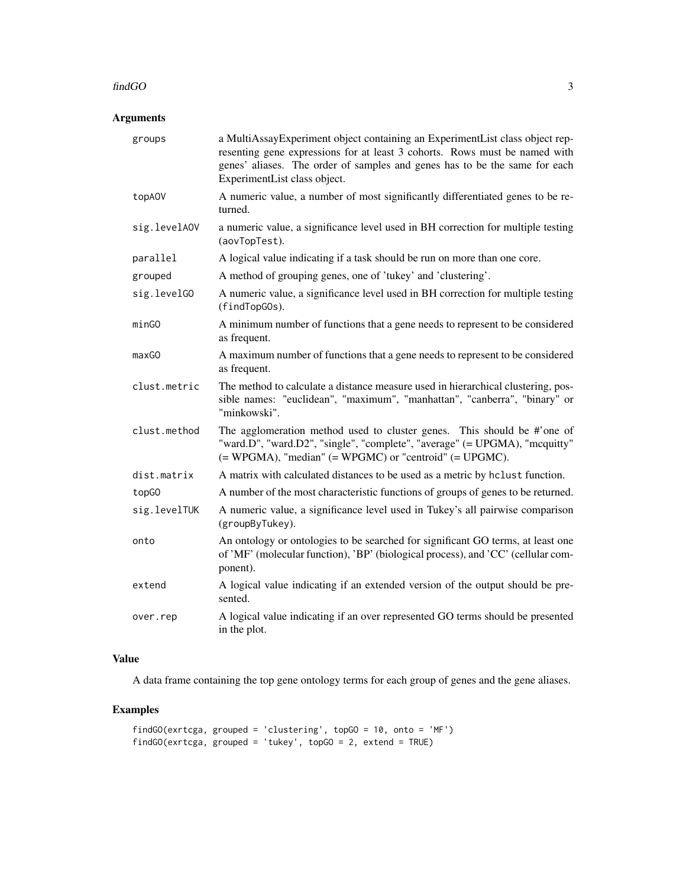#### findGO 3

#### Arguments

| groups       | a MultiAssayExperiment object containing an ExperimentList class object rep-<br>resenting gene expressions for at least 3 cohorts. Rows must be named with<br>genes' aliases. The order of samples and genes has to be the same for each<br>ExperimentList class object. |
|--------------|--------------------------------------------------------------------------------------------------------------------------------------------------------------------------------------------------------------------------------------------------------------------------|
| topA0V       | A numeric value, a number of most significantly differentiated genes to be re-<br>turned.                                                                                                                                                                                |
| sig.levelAOV | a numeric value, a significance level used in BH correction for multiple testing<br>(aovTopTest).                                                                                                                                                                        |
| parallel     | A logical value indicating if a task should be run on more than one core.                                                                                                                                                                                                |
| grouped      | A method of grouping genes, one of 'tukey' and 'clustering'.                                                                                                                                                                                                             |
| sig.levelGO  | A numeric value, a significance level used in BH correction for multiple testing<br>(findTopGOs).                                                                                                                                                                        |
| minGO        | A minimum number of functions that a gene needs to represent to be considered<br>as frequent.                                                                                                                                                                            |
| maxGO        | A maximum number of functions that a gene needs to represent to be considered<br>as frequent.                                                                                                                                                                            |
| clust.metric | The method to calculate a distance measure used in hierarchical clustering, pos-<br>sible names: "euclidean", "maximum", "manhattan", "canberra", "binary" or<br>"minkowski".                                                                                            |
| clust.method | The agglomeration method used to cluster genes. This should be #'one of<br>"ward.D", "ward.D2", "single", "complete", "average" (= UPGMA), "mcquitty"<br>(= WPGMA), "median" (= WPGMC) or "centroid" (= UPGMC).                                                          |
| dist.matrix  | A matrix with calculated distances to be used as a metric by hclust function.                                                                                                                                                                                            |
| topG0        | A number of the most characteristic functions of groups of genes to be returned.                                                                                                                                                                                         |
| sig.levelTUK | A numeric value, a significance level used in Tukey's all pairwise comparison<br>(groupByTukey).                                                                                                                                                                         |
| onto         | An ontology or ontologies to be searched for significant GO terms, at least one<br>of 'MF' (molecular function), 'BP' (biological process), and 'CC' (cellular com-<br>ponent).                                                                                          |
| extend       | A logical value indicating if an extended version of the output should be pre-<br>sented.                                                                                                                                                                                |
| over.rep     | A logical value indicating if an over represented GO terms should be presented<br>in the plot.                                                                                                                                                                           |

#### Value

A data frame containing the top gene ontology terms for each group of genes and the gene aliases.

#### Examples

```
findGO(exrtcga, grouped = 'clustering', topGO = 10, onto = 'MF')
findGO(exrtcga, grouped = 'tukey', topGO = 2, extend = TRUE)
```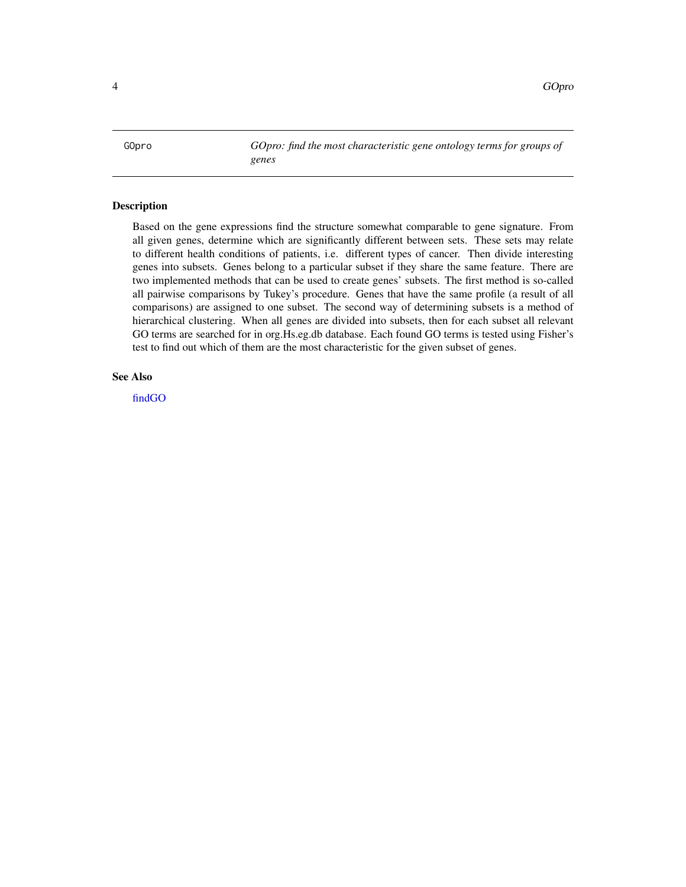<span id="page-3-0"></span>GOpro *GOpro: find the most characteristic gene ontology terms for groups of genes*

#### Description

Based on the gene expressions find the structure somewhat comparable to gene signature. From all given genes, determine which are significantly different between sets. These sets may relate to different health conditions of patients, i.e. different types of cancer. Then divide interesting genes into subsets. Genes belong to a particular subset if they share the same feature. There are two implemented methods that can be used to create genes' subsets. The first method is so-called all pairwise comparisons by Tukey's procedure. Genes that have the same profile (a result of all comparisons) are assigned to one subset. The second way of determining subsets is a method of hierarchical clustering. When all genes are divided into subsets, then for each subset all relevant GO terms are searched for in org.Hs.eg.db database. Each found GO terms is tested using Fisher's test to find out which of them are the most characteristic for the given subset of genes.

#### See Also

[findGO](#page-1-1)